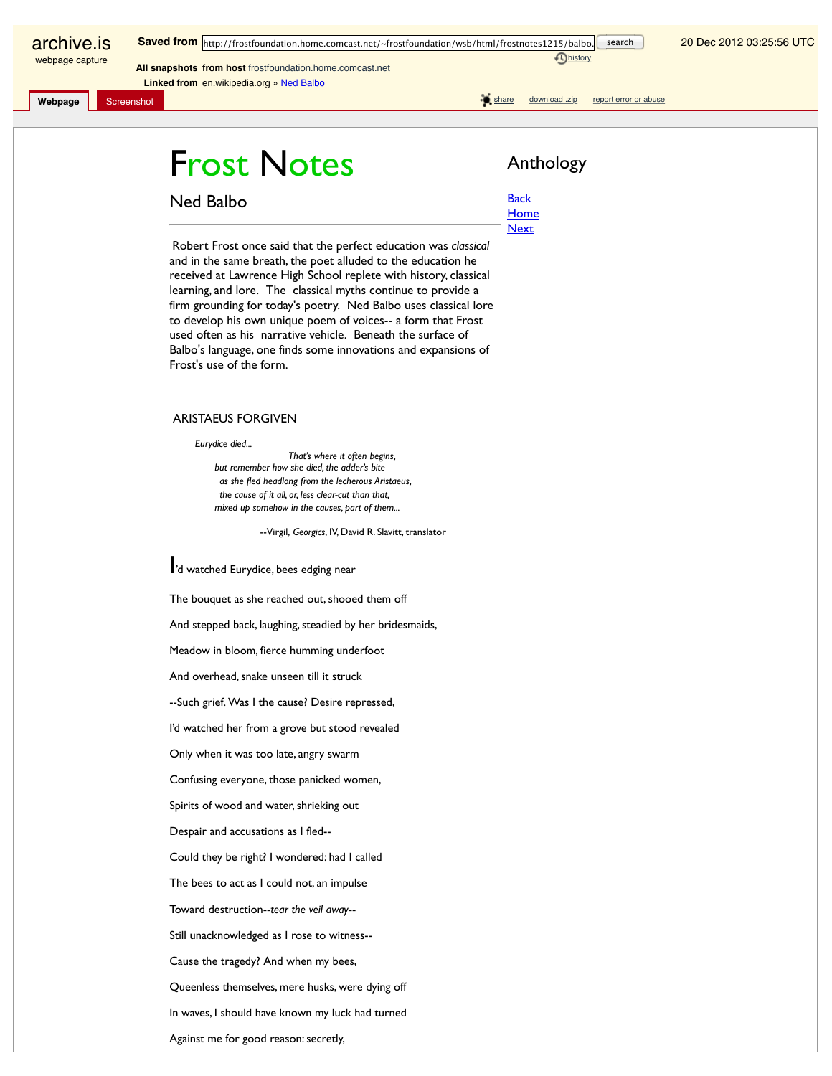archive.is webpage capture

**Dhistory** 

20 Dec 2012 03:25:56 UTC

**Linked from** en.wikipedia.org » Ned Balbo

**Webpage** Screenshot share download .zip report error or abuse

## Frost Notes **Anthology**

**All snapshots from host** frostfoundation.home.comcast.net

Ned Balbo

**Back** 

**Home Next** 

Robert Frost once said that the perfect education was *classical* and in the same breath, the poet alluded to the education he received at Lawrence High School replete with history, classical learning, and lore. The classical myths continue to provide a firm grounding for today's poetry. Ned Balbo uses classical lore to develop his own unique poem of voices-- a form that Frost used often as his narrative vehicle. Beneath the surface of Balbo's language, one finds some innovations and expansions of Frost's use of the form.

## ARISTAEUS FORGIVEN

*Eurydice died...* 

 *That's where it often begins, but remember how she died, the adder's bite as she fled headlong from the lecherous Aristaeus, the cause of it all, or, less clear-cut than that, mixed up somehow in the causes, part of them...* 

--Virgil, *Georgics*, IV, David R. Slavitt, translator

I'd watched Eurydice, bees edging near

The bouquet as she reached out, shooed them off

And stepped back, laughing, steadied by her bridesmaids,

Meadow in bloom, fierce humming underfoot

And overhead, snake unseen till it struck

--Such grief. Was I the cause? Desire repressed,

I'd watched her from a grove but stood revealed

Only when it was too late, angry swarm

Confusing everyone, those panicked women,

Spirits of wood and water, shrieking out

Despair and accusations as I fled--

Could they be right? I wondered: had I called

The bees to act as I could not, an impulse

Toward destruction--*tear the veil away*--

Still unacknowledged as I rose to witness--

Cause the tragedy? And when my bees,

Queenless themselves, mere husks, were dying off

In waves, I should have known my luck had turned

Against me for good reason: secretly,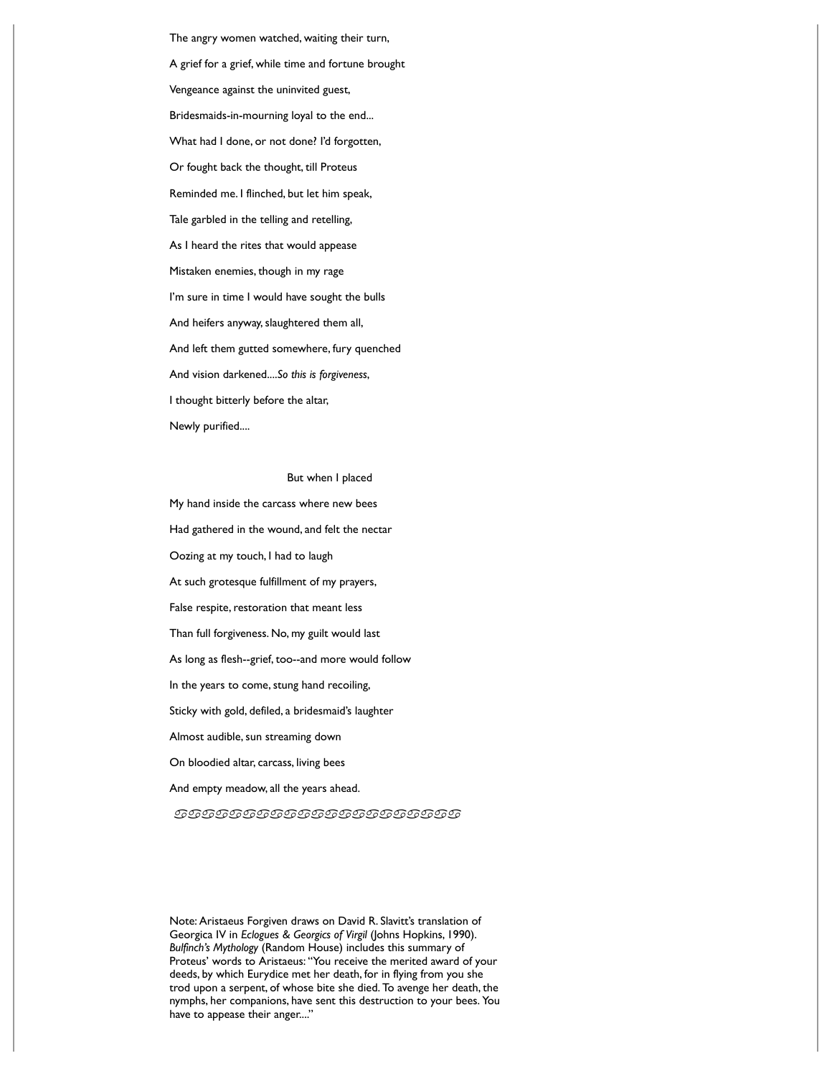The angry women watched, waiting their turn, A grief for a grief, while time and fortune brought Vengeance against the uninvited guest, Bridesmaids-in-mourning loyal to the end... What had I done, or not done? I'd forgotten, Or fought back the thought, till Proteus Reminded me. I flinched, but let him speak, Tale garbled in the telling and retelling, As I heard the rites that would appease Mistaken enemies, though in my rage I'm sure in time I would have sought the bulls And heifers anyway, slaughtered them all, And left them gutted somewhere, fury quenched And vision darkened....*So this is forgiveness*, I thought bitterly before the altar, Newly purified....

## But when I placed

My hand inside the carcass where new bees Had gathered in the wound, and felt the nectar Oozing at my touch, I had to laugh At such grotesque fulfillment of my prayers, False respite, restoration that meant less Than full forgiveness. No, my guilt would last As long as flesh--grief, too--and more would follow In the years to come, stung hand recoiling, Sticky with gold, defiled, a bridesmaid's laughter Almost audible, sun streaming down On bloodied altar, carcass, living bees And empty meadow, all the years ahead.

aaaaaaaaaaaaaaaaaaaaa

Note: Aristaeus Forgiven draws on David R. Slavitt's translation of Georgica IV in *Eclogues & Georgics of Virgil* (Johns Hopkins, 1990). *Bulfinch's Mythology* (Random House) includes this summary of Proteus' words to Aristaeus: "You receive the merited award of your deeds, by which Eurydice met her death, for in flying from you she trod upon a serpent, of whose bite she died. To avenge her death, the nymphs, her companions, have sent this destruction to your bees. You have to appease their anger...."